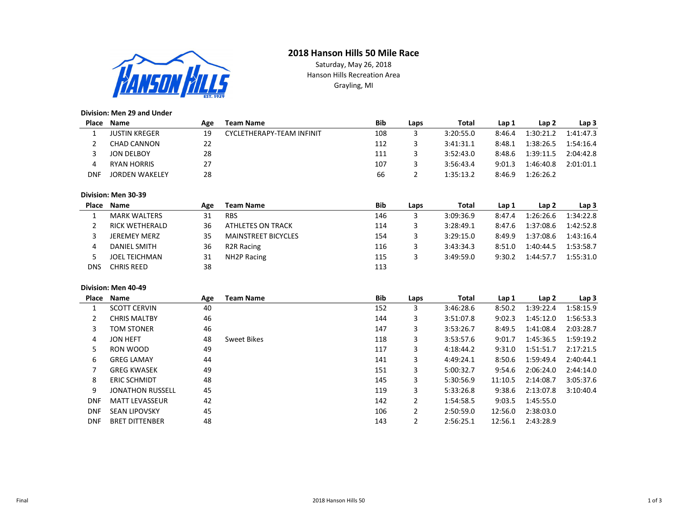## 2018 Hanson Hills 50 Mile Race



Saturday, May 26, 2018 Hanson Hills Recreation Area Grayling, MI

### Division: Men 29 and Under

| Place | Name                  | Age | Team Name                 | Bib | Laps | Total     | Lap 1  | Lap 2     | Lap 3     |
|-------|-----------------------|-----|---------------------------|-----|------|-----------|--------|-----------|-----------|
|       | <b>JUSTIN KREGER</b>  | 19  | CYCLETHERAPY-TEAM INFINIT | 108 |      | 3:20:55.0 | 8:46.4 | 1:30:21.2 | 1:41:47.3 |
|       | CHAD CANNON           | 22  |                           | 112 |      | 3:41:31.1 | 8:48.1 | 1:38:26.5 | 1:54:16.4 |
|       | JON DELBOY            | 28  |                           | 111 |      | 3:52:43.0 | 8:48.6 | 1:39:11.5 | 2:04:42.8 |
|       | RYAN HORRIS           | 27  |                           | 107 |      | 3:56:43.4 | 9:01.3 | 1:46:40.8 | 2:01:01.1 |
| DNF   | <b>JORDEN WAKELEY</b> | 28  |                           | 66  |      | 1:35:13.2 | 8:46.9 | 1:26:26.2 |           |

### Division: Men 30-39

| Place | <b>Name</b>          | Age | <b>Team Name</b>           | Bib | Laps | Total     | Lap 1  | Lap <sub>2</sub> | Lap <sub>3</sub> |
|-------|----------------------|-----|----------------------------|-----|------|-----------|--------|------------------|------------------|
|       | <b>MARK WALTERS</b>  | 31  | <b>RBS</b>                 | 146 | З    | 3:09:36.9 | 8:47.4 | 1:26:26.6        | 1:34:22.8        |
|       | RICK WETHERALD       | 36  | ATHLETES ON TRACK          | 114 | 3    | 3:28:49.1 | 8:47.6 | 1:37:08.6        | 1:42:52.8        |
|       | <b>JEREMEY MERZ</b>  | 35  | <b>MAINSTREET BICYCLES</b> | 154 |      | 3:29:15.0 | 8:49.9 | 1:37:08.6        | 1:43:16.4        |
|       | DANIEL SMITH         | 36  | R2R Racing                 | 116 | 3    | 3:43:34.3 | 8:51.0 | 1:40:44.5        | 1:53:58.7        |
|       | <b>JOEL TEICHMAN</b> | 31  | NH2P Racing                | 115 |      | 3:49:59.0 | 9:30.2 | 1:44:57.7        | 1:55:31.0        |
| DNS   | CHRIS REED           | 38  |                            | 113 |      |           |        |                  |                  |

### Division: Men 40-49

| Place      | <b>Name</b>             | Age | Team Name   | Bib | Laps           | Total     | Lap 1   | Lap <sub>2</sub> | Lap <sub>3</sub> |
|------------|-------------------------|-----|-------------|-----|----------------|-----------|---------|------------------|------------------|
|            | <b>SCOTT CERVIN</b>     | 40  |             | 152 | 3              | 3:46:28.6 | 8:50.2  | 1:39:22.4        | 1:58:15.9        |
| 2          | <b>CHRIS MALTBY</b>     | 46  |             | 144 | 3              | 3:51:07.8 | 9:02.3  | 1:45:12.0        | 1:56:53.3        |
| 3          | <b>TOM STONER</b>       | 46  |             | 147 | 3              | 3:53:26.7 | 8:49.5  | 1:41:08.4        | 2:03:28.7        |
| 4          | <b>JON HEFT</b>         | 48  | Sweet Bikes | 118 | 3              | 3:53:57.6 | 9:01.7  | 1:45:36.5        | 1:59:19.2        |
| 5          | RON WOOD                | 49  |             | 117 | 3              | 4:18:44.2 | 9:31.0  | 1:51:51.7        | 2:17:21.5        |
| 6          | <b>GREG LAMAY</b>       | 44  |             | 141 | 3              | 4:49:24.1 | 8:50.6  | 1:59:49.4        | 2:40:44.1        |
| 7          | <b>GREG KWASEK</b>      | 49  |             | 151 | 3              | 5:00:32.7 | 9:54.6  | 2:06:24.0        | 2:44:14.0        |
| 8          | <b>ERIC SCHMIDT</b>     | 48  |             | 145 | 3              | 5:30:56.9 | 11:10.5 | 2:14:08.7        | 3:05:37.6        |
| 9          | <b>JONATHON RUSSELL</b> | 45  |             | 119 | 3              | 5:33:26.8 | 9:38.6  | 2:13:07.8        | 3:10:40.4        |
| <b>DNF</b> | <b>MATT LEVASSEUR</b>   | 42  |             | 142 | $\overline{2}$ | 1:54:58.5 | 9:03.5  | 1:45:55.0        |                  |
| <b>DNF</b> | <b>SEAN LIPOVSKY</b>    | 45  |             | 106 | 2              | 2:50:59.0 | 12:56.0 | 2:38:03.0        |                  |
| <b>DNF</b> | <b>BRET DITTENBER</b>   | 48  |             | 143 | 2              | 2:56:25.1 | 12:56.1 | 2:43:28.9        |                  |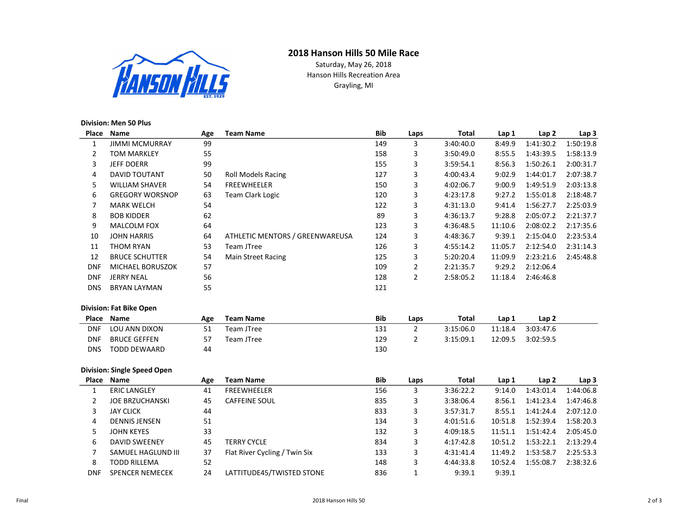# 2018 Hanson Hills 50 Mile Race



Saturday, May 26, 2018 Hanson Hills Recreation Area Grayling, MI

### Division: Men 50 Plus

| Place          | Name                               | Age | <b>Team Name</b>                | <b>Bib</b> | Laps           | <b>Total</b> | Lap 1            | Lap <sub>2</sub> | Lap <sub>3</sub> |
|----------------|------------------------------------|-----|---------------------------------|------------|----------------|--------------|------------------|------------------|------------------|
| $\mathbf{1}$   | <b>JIMMI MCMURRAY</b>              | 99  |                                 | 149        | 3              | 3:40:40.0    | 8:49.9           | 1:41:30.2        | 1:50:19.8        |
| $\overline{2}$ | <b>TOM MARKLEY</b>                 | 55  |                                 | 158        | 3              | 3:50:49.0    | 8:55.5           | 1:43:39.5        | 1:58:13.9        |
| 3              | <b>JEFF DOERR</b>                  | 99  |                                 | 155        | 3              | 3:59:54.1    | 8:56.3           | 1:50:26.1        | 2:00:31.7        |
| 4              | <b>DAVID TOUTANT</b>               | 50  | <b>Roll Models Racing</b>       | 127        | 3              | 4:00:43.4    | 9:02.9           | 1:44:01.7        | 2:07:38.7        |
| 5              | <b>WILLIAM SHAVER</b>              | 54  | <b>FREEWHEELER</b>              | 150        | 3              | 4:02:06.7    | 9:00.9           | 1:49:51.9        | 2:03:13.8        |
| 6              | <b>GREGORY WORSNOP</b>             | 63  | Team Clark Logic                | 120        | 3              | 4:23:17.8    | 9:27.2           | 1:55:01.8        | 2:18:48.7        |
| $\overline{7}$ | <b>MARK WELCH</b>                  | 54  |                                 | 122        | 3              | 4:31:13.0    | 9:41.4           | 1:56:27.7        | 2:25:03.9        |
| 8              | <b>BOB KIDDER</b>                  | 62  |                                 | 89         | 3              | 4:36:13.7    | 9:28.8           | 2:05:07.2        | 2:21:37.7        |
| 9              | <b>MALCOLM FOX</b>                 | 64  |                                 | 123        | 3              | 4:36:48.5    | 11:10.6          | 2:08:02.2        | 2:17:35.6        |
| 10             | <b>JOHN HARRIS</b>                 | 64  | ATHLETIC MENTORS / GREENWAREUSA | 124        | 3              | 4:48:36.7    | 9:39.1           | 2:15:04.0        | 2:23:53.4        |
| 11             | <b>THOM RYAN</b>                   | 53  | <b>Team JTree</b>               | 126        | 3              | 4:55:14.2    | 11:05.7          | 2:12:54.0        | 2:31:14.3        |
| 12             | <b>BRUCE SCHUTTER</b>              | 54  | <b>Main Street Racing</b>       | 125        | 3              | 5:20:20.4    | 11:09.9          | 2:23:21.6        | 2:45:48.8        |
| <b>DNF</b>     | MICHAEL BORUSZOK                   | 57  |                                 | 109        | $\overline{2}$ | 2:21:35.7    | 9:29.2           | 2:12:06.4        |                  |
| <b>DNF</b>     | <b>JERRY NEAL</b>                  | 56  |                                 | 128        | $\overline{2}$ | 2:58:05.2    | 11:18.4          | 2:46:46.8        |                  |
| <b>DNS</b>     | <b>BRYAN LAYMAN</b>                | 55  |                                 | 121        |                |              |                  |                  |                  |
|                | <b>Division: Fat Bike Open</b>     |     |                                 |            |                |              |                  |                  |                  |
| Place          | Name                               | Age | <b>Team Name</b>                | <b>Bib</b> | Laps           | <b>Total</b> | Lap 1            | Lap2             |                  |
| <b>DNF</b>     | LOU ANN DIXON                      | 51  | Team JTree                      | 131        | $\overline{2}$ | 3:15:06.0    | 11:18.4          | 3:03:47.6        |                  |
| <b>DNF</b>     | <b>BRUCE GEFFEN</b>                | 57  | Team JTree                      | 129        | $\overline{2}$ | 3:15:09.1    | 12:09.5          | 3:02:59.5        |                  |
| <b>DNS</b>     | <b>TODD DEWAARD</b>                | 44  |                                 | 130        |                |              |                  |                  |                  |
|                | <b>Division: Single Speed Open</b> |     |                                 |            |                |              |                  |                  |                  |
|                | Place Name                         | Age | <b>Team Name</b>                | <b>Bib</b> | Laps           | <b>Total</b> | Lap <sub>1</sub> | Lap2             | Lap <sub>3</sub> |
| 1              | <b>ERIC LANGLEY</b>                | 41  | <b>FREEWHEELER</b>              | 156        | 3              | 3:36:22.2    | 9:14.0           | 1:43:01.4        | 1:44:06.8        |
| $\overline{2}$ | <b>JOE BRZUCHANSKI</b>             | 45  | <b>CAFFEINE SOUL</b>            | 835        | 3              | 3:38:06.4    | 8:56.1           | 1:41:23.4        | 1:47:46.8        |
| 3              | <b>JAY CLICK</b>                   | 44  |                                 | 833        | 3              | 3:57:31.7    | 8:55.1           | 1:41:24.4        | 2:07:12.0        |
| 4              | <b>DENNIS JENSEN</b>               | 51  |                                 | 134        | 3              | 4:01:51.6    | 10:51.8          | 1:52:39.4        | 1:58:20.3        |
| 5              | <b>JOHN KEYES</b>                  | 33  |                                 | 132        | 3              | 4:09:18.5    | 11:51.1          | 1:51:42.4        | 2:05:45.0        |
| 6              | <b>DAVID SWEENEY</b>               | 45  | <b>TERRY CYCLE</b>              | 834        | 3              | 4:17:42.8    | 10:51.2          | 1:53:22.1        | 2:13:29.4        |
| $\overline{7}$ | SAMUEL HAGLUND III                 | 37  | Flat River Cycling / Twin Six   | 133        | 3              | 4:31:41.4    | 11:49.2          | 1:53:58.7        | 2:25:53.3        |
| 8              | <b>TODD RILLEMA</b>                | 52  |                                 | 148        | 3              | 4:44:33.8    | 10:52.4          | 1:55:08.7        | 2:38:32.6        |
| <b>DNF</b>     | <b>SPENCER NEMECEK</b>             | 24  | LATTITUDE45/TWISTED STONE       | 836        | $\mathbf{1}$   | 9:39.1       | 9:39.1           |                  |                  |